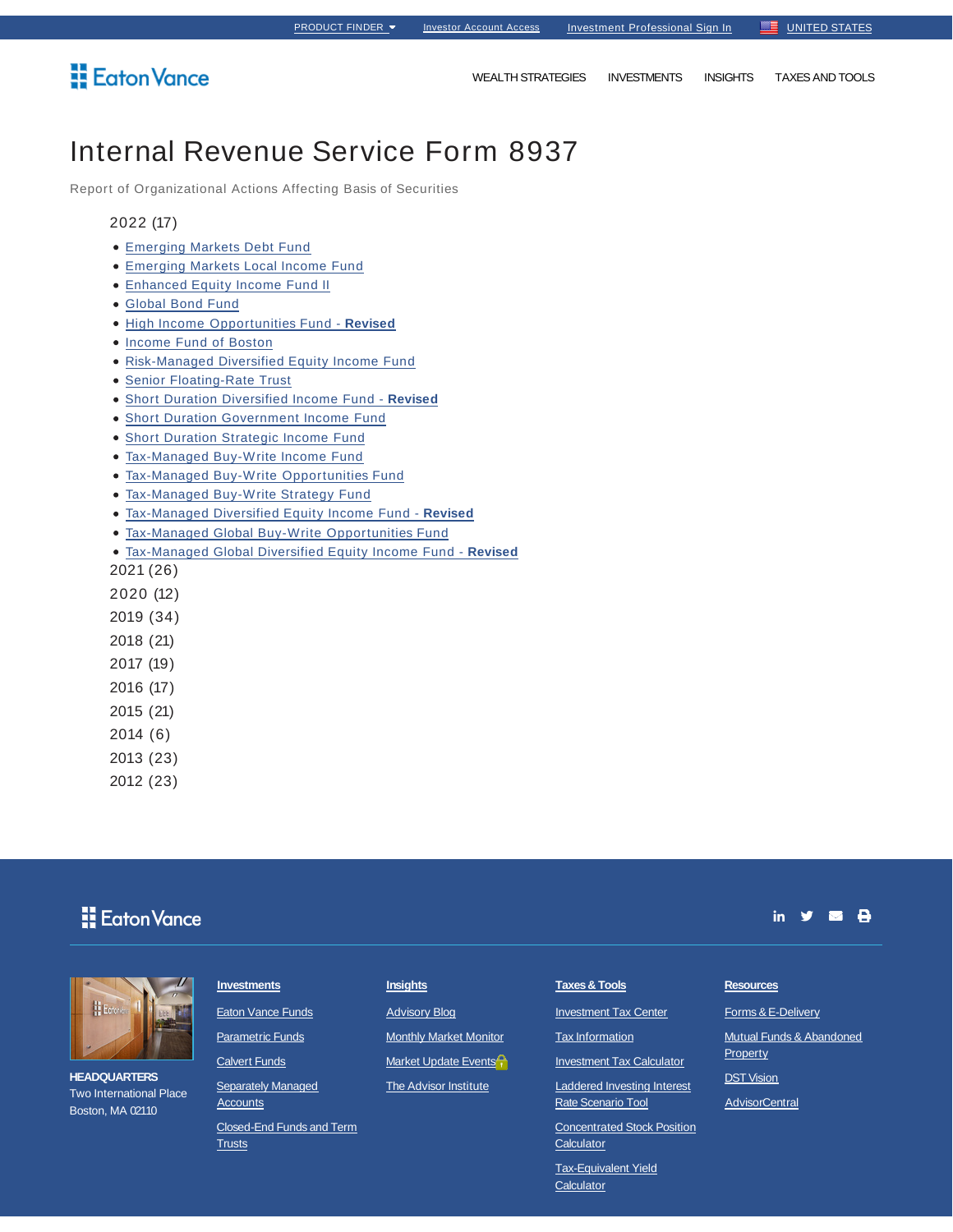## Eaton Vance

WEALTH STRATEGIES INVESTMENTS INSIGHTS TAXES AND TOOLS

## Internal Revenue Service Form 8937

Report of Organizational Actions Affecting Basis of Securities

### 2022 (17)

- Emerging Markets Debt Fund
- Emerging Markets Local Income Fund
- Enhanced Equity Income Fund II
- Global Bond Fund
- High Income Opportunities Fund **Revised**
- Income Fund of Boston
- Risk-Managed Diversified Equity Income Fund
- Senior Floating-Rate Trust
- Short Duration Diversified Income Fund **Revised**
- Short Duration Government Income Fund
- Short Duration Strategic Income Fund
- Tax-Managed Buy-Write Income Fund
- Tax-Managed Buy-Write Opportunities Fund
- Tax-Managed Buy-Write Strategy Fund
- Tax-Managed Diversified Equity Income Fund **Revised**
- Tax-Managed Global Buy-Write Opportunities Fund
- Tax-Managed Global Diversified Equity Income Fund **Revised**

2021 (26)

- 2020 (12)
- 2019 (34)
- 2018 (21)
- 2017 (19)
- 2016 (17)
- 2015 (21)

2014 (6)

2013 (23)

2012 (23)

## **H** Eaton Vance



**HEADQUARTERS** Two International Place Boston, MA 02110

#### **Investments**

**Eaton Vance Funds** 

Parametric Funds

**Calvert Funds** 

**Separately Managed Accounts** 

Closed-End Funds and Term **Trusts** 

### **Insights**

Advisory Blog

Monthly Market Monitor

Market Update Events<sup>2</sup>

**The Advisor Institute** 

### **Taxes & Tools**

Investment Tax Center

Tax Information

**Investment Tax Calculator** 

Laddered Investing Interest Rate Scenario Tool

Concentrated Stock Position **Calculator** 

**Calculator** 

# in  $\mathbf{y}$  is  $\mathbf{\Theta}$

## **Resources**

Forms & E-Delivery

Mutual Funds & Abandoned **DST Vision** 

**AdvisorCentral** 

**Property** 

Tax-Equivalent Yield